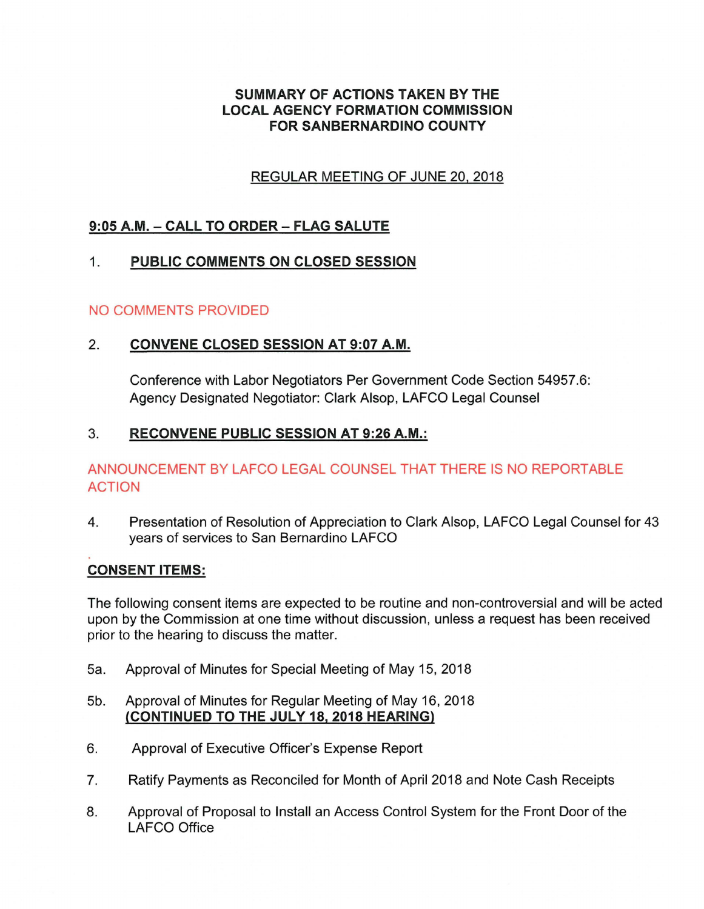# **SUMMARY OF ACTIONS TAKEN BY THE LOCAL AGENCY FORMATION COMMISSION FOR SANBERNARDINO COUNTY**

# REGULAR MEETING OF JUNE 20, 2018

# **9:05 A.M. - CALL TO ORDER - FLAG SALUTE**

# 1. **PUBLIC COMMENTS ON CLOSED SESSION**

## NO COMMENTS PROVIDED

# 2. **CONVENE CLOSED SESSION AT 9:07 A.M.**

Conference with Labor Negotiators Per Government Code Section 54957.6: Agency Designated Negotiator: Clark Alsop, LAFCO Legal Counsel

# 3. **RECONVENE PUBLIC SESSION AT 9:26 A.M.:**

# ANNOUNCEMENT BY LAFCO LEGAL COUNSEL THAT THERE IS NO REPORTABLE ACTION

4. Presentation of Resolution of Appreciation to Clark Alsop, LAFCO Legal Counsel for 43 years of services to San Bernardino LAFCO

## **CONSENT ITEMS:**

The following consent items are expected to be routine and non-controversial and will be acted upon by the Commission at one time without discussion, unless a request has been received prior to the hearing to discuss the matter.

- 5a. Approval of Minutes for Special Meeting of May 15, 2018
- 5b. Approval of Minutes for Regular Meeting of May 16, 2018 **(CONTINUED TO THE JULY 18, 2018 HEARING)**
- 6. Approval of Executive Officer's Expense Report
- 7. Ratify Payments as Reconciled for Month of April 2018 and Note Cash Receipts
- 8. Approval of Proposal to Install an Access Control System for the Front Door of the LAFCO Office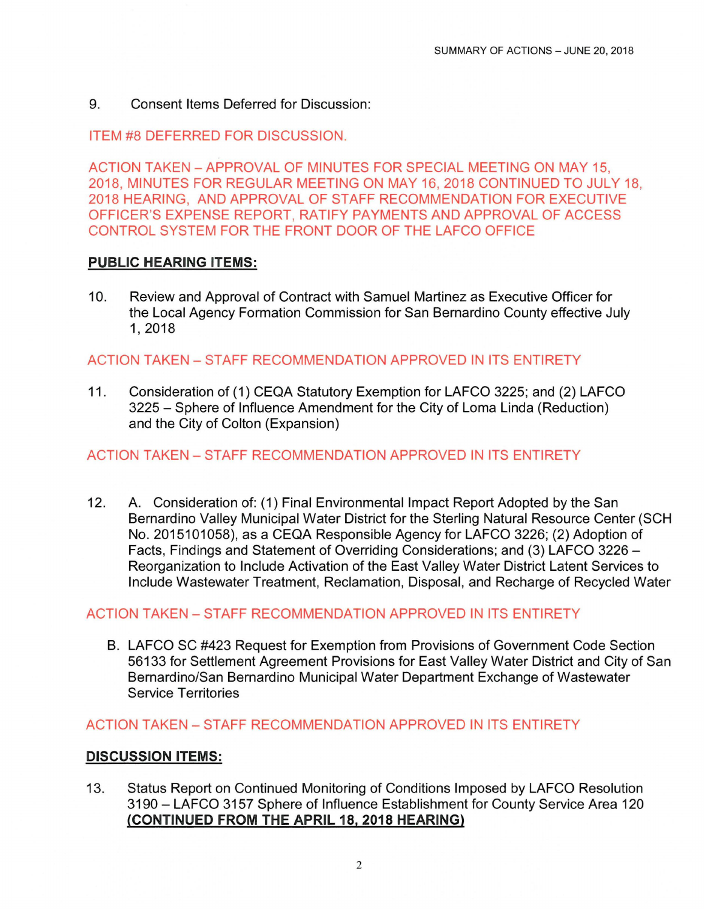9. Consent Items Deferred for Discussion:

ITEM #8 DEFERRED FOR DISCUSSION.

ACTION TAKEN-APPROVAL OF MINUTES FOR SPECIAL MEETING ON MAY 15, 2018, MINUTES FOR REGULAR MEETING ON MAY 16, 2018 CONTINUED TO JULY 18, 2018 HEARING, AND APPROVAL OF STAFF RECOMMENDATION FOR EXECUTIVE OFFICER'S EXPENSE REPORT, RATIFY PAYMENTS AND APPROVAL OF ACCESS CONTROL SYSTEM FOR THE FRONT DOOR OF THE LAFCO OFFICE

## **PUBLIC HEARING ITEMS:**

10. Review and Approval of Contract with Samuel Martinez as Executive Officer for the Local Agency Formation Commission for San Bernardino County effective July 1,2018

## ACTION TAKEN- STAFF RECOMMENDATION APPROVED IN ITS ENTIRETY

11. Consideration of (1) CEQA Statutory Exemption for LAFCO 3225; and (2) LAFCO 3225 - Sphere of Influence Amendment for the City of Loma Linda (Reduction) and the City of Colton (Expansion)

#### ACTION TAKEN-STAFF RECOMMENDATION APPROVED IN ITS ENTIRETY

12. A. Consideration of: (1) Final Environmental Impact Report Adopted by the San Bernardino Valley Municipal Water District for the Sterling Natural Resource Center (SCH No. 2015101058), as a CEQA Responsible Agency for LAFCO 3226; (2) Adoption of Facts, Findings and Statement of Overriding Considerations; and (3) LAFCO 3226 -Reorganization to Include Activation of the East Valley Water District Latent Services to Include Wastewater Treatment, Reclamation, Disposal, and Recharge of Recycled Water

## ACTION TAKEN- STAFF RECOMMENDATION APPROVED IN ITS ENTIRETY

8. LAFCO SC #423 Request for Exemption from Provisions of Government Code Section 56133 for Settlement Agreement Provisions for East Valley Water District and City of San Bernardino/San Bernardino Municipal Water Department Exchange of Wastewater Service Territories

ACTION TAKEN- STAFF RECOMMENDATION APPROVED IN ITS ENTIRETY

#### **DISCUSSION ITEMS:**

13. Status Report on Continued Monitoring of Conditions Imposed by LAFCO Resolution 3190 - LAFCO 3157 Sphere of Influence Establishment for County Service Area 120 **(CONTINUED FROM THE APRIL 182 2018 HEARING)**